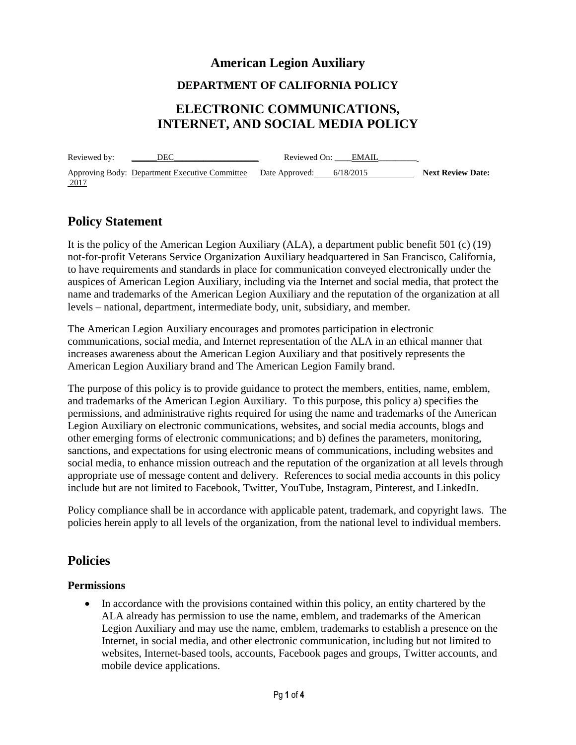## **American Legion Auxiliary**

#### **DEPARTMENT OF CALIFORNIA POLICY**

# **ELECTRONIC COMMUNICATIONS, INTERNET, AND SOCIAL MEDIA POLICY**

Reviewed by:\_\_\_\_\_\_DEC\_\_\_\_\_\_\_\_\_\_\_\_\_\_\_\_\_\_\_\_ Reviewed On: \_\_\_\_EMAIL\_\_\_\_\_\_\_\_\_ Approving Body: Department Executive Committee Date Approved: 6/18/2015 **Next Review Date:**  2017

# **Policy Statement**

It is the policy of the American Legion Auxiliary (ALA), a department public benefit 501 (c) (19) not-for-profit Veterans Service Organization Auxiliary headquartered in San Francisco, California, to have requirements and standards in place for communication conveyed electronically under the auspices of American Legion Auxiliary, including via the Internet and social media, that protect the name and trademarks of the American Legion Auxiliary and the reputation of the organization at all levels – national, department, intermediate body, unit, subsidiary, and member.

The American Legion Auxiliary encourages and promotes participation in electronic communications, social media, and Internet representation of the ALA in an ethical manner that increases awareness about the American Legion Auxiliary and that positively represents the American Legion Auxiliary brand and The American Legion Family brand.

The purpose of this policy is to provide guidance to protect the members, entities, name, emblem, and trademarks of the American Legion Auxiliary. To this purpose, this policy a) specifies the permissions, and administrative rights required for using the name and trademarks of the American Legion Auxiliary on electronic communications, websites, and social media accounts, blogs and other emerging forms of electronic communications; and b) defines the parameters, monitoring, sanctions, and expectations for using electronic means of communications, including websites and social media, to enhance mission outreach and the reputation of the organization at all levels through appropriate use of message content and delivery. References to social media accounts in this policy include but are not limited to Facebook, Twitter, YouTube, Instagram, Pinterest, and LinkedIn.

Policy compliance shall be in accordance with applicable patent, trademark, and copyright laws. The policies herein apply to all levels of the organization, from the national level to individual members.

## **Policies**

#### **Permissions**

 In accordance with the provisions contained within this policy, an entity chartered by the ALA already has permission to use the name, emblem, and trademarks of the American Legion Auxiliary and may use the name, emblem, trademarks to establish a presence on the Internet, in social media, and other electronic communication, including but not limited to websites, Internet-based tools, accounts, Facebook pages and groups, Twitter accounts, and mobile device applications.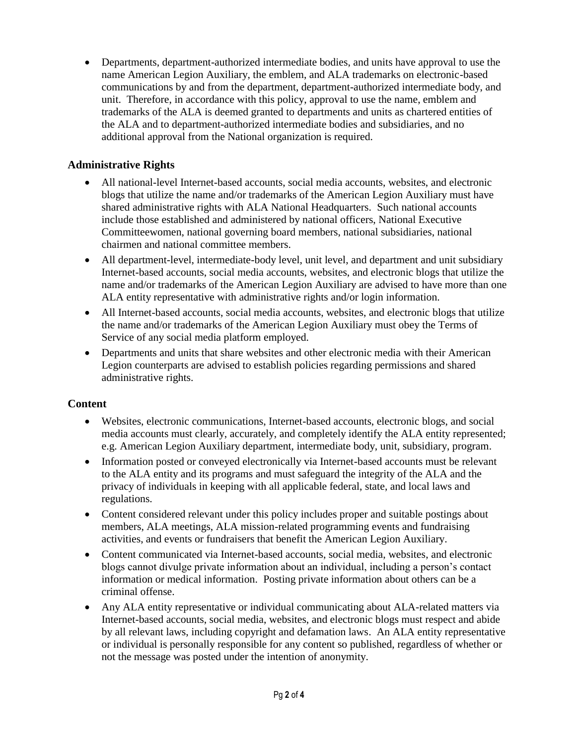Departments, department-authorized intermediate bodies, and units have approval to use the name American Legion Auxiliary, the emblem, and ALA trademarks on electronic-based communications by and from the department, department-authorized intermediate body, and unit. Therefore, in accordance with this policy, approval to use the name, emblem and trademarks of the ALA is deemed granted to departments and units as chartered entities of the ALA and to department-authorized intermediate bodies and subsidiaries, and no additional approval from the National organization is required.

#### **Administrative Rights**

- All national-level Internet-based accounts, social media accounts, websites, and electronic blogs that utilize the name and/or trademarks of the American Legion Auxiliary must have shared administrative rights with ALA National Headquarters. Such national accounts include those established and administered by national officers, National Executive Committeewomen, national governing board members, national subsidiaries, national chairmen and national committee members.
- All department-level, intermediate-body level, unit level, and department and unit subsidiary Internet-based accounts, social media accounts, websites, and electronic blogs that utilize the name and/or trademarks of the American Legion Auxiliary are advised to have more than one ALA entity representative with administrative rights and/or login information.
- All Internet-based accounts, social media accounts, websites, and electronic blogs that utilize the name and/or trademarks of the American Legion Auxiliary must obey the Terms of Service of any social media platform employed.
- Departments and units that share websites and other electronic media with their American Legion counterparts are advised to establish policies regarding permissions and shared administrative rights.

#### **Content**

- Websites, electronic communications, Internet-based accounts, electronic blogs, and social media accounts must clearly, accurately, and completely identify the ALA entity represented; e.g. American Legion Auxiliary department, intermediate body, unit, subsidiary, program.
- Information posted or conveyed electronically via Internet-based accounts must be relevant to the ALA entity and its programs and must safeguard the integrity of the ALA and the privacy of individuals in keeping with all applicable federal, state, and local laws and regulations.
- Content considered relevant under this policy includes proper and suitable postings about members, ALA meetings, ALA mission-related programming events and fundraising activities, and events or fundraisers that benefit the American Legion Auxiliary.
- Content communicated via Internet-based accounts, social media, websites, and electronic blogs cannot divulge private information about an individual, including a person's contact information or medical information. Posting private information about others can be a criminal offense.
- Any ALA entity representative or individual communicating about ALA-related matters via Internet-based accounts, social media, websites, and electronic blogs must respect and abide by all relevant laws, including copyright and defamation laws. An ALA entity representative or individual is personally responsible for any content so published, regardless of whether or not the message was posted under the intention of anonymity.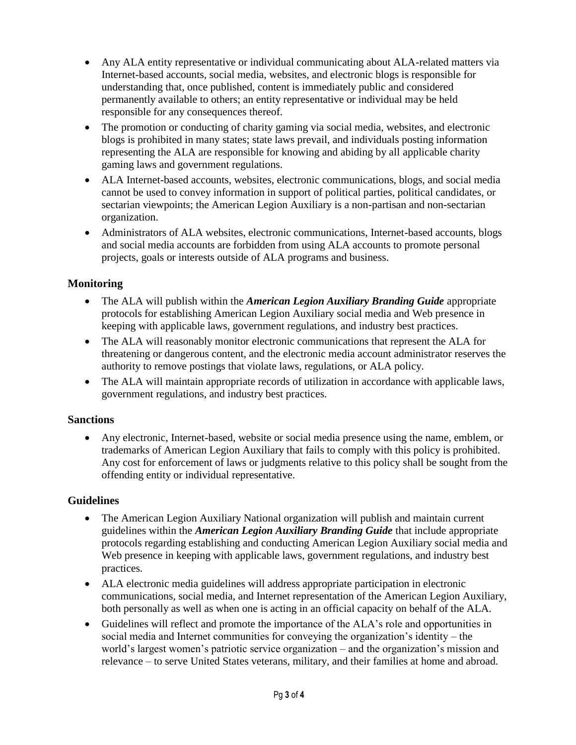- Any ALA entity representative or individual communicating about ALA-related matters via Internet-based accounts, social media, websites, and electronic blogs is responsible for understanding that, once published, content is immediately public and considered permanently available to others; an entity representative or individual may be held responsible for any consequences thereof.
- The promotion or conducting of charity gaming via social media, websites, and electronic blogs is prohibited in many states; state laws prevail, and individuals posting information representing the ALA are responsible for knowing and abiding by all applicable charity gaming laws and government regulations.
- ALA Internet-based accounts, websites, electronic communications, blogs, and social media cannot be used to convey information in support of political parties, political candidates, or sectarian viewpoints; the American Legion Auxiliary is a non-partisan and non-sectarian organization.
- Administrators of ALA websites, electronic communications, Internet-based accounts, blogs and social media accounts are forbidden from using ALA accounts to promote personal projects, goals or interests outside of ALA programs and business.

## **Monitoring**

- The ALA will publish within the *American Legion Auxiliary Branding Guide* appropriate protocols for establishing American Legion Auxiliary social media and Web presence in keeping with applicable laws, government regulations, and industry best practices.
- The ALA will reasonably monitor electronic communications that represent the ALA for threatening or dangerous content, and the electronic media account administrator reserves the authority to remove postings that violate laws, regulations, or ALA policy.
- The ALA will maintain appropriate records of utilization in accordance with applicable laws, government regulations, and industry best practices.

#### **Sanctions**

 Any electronic, Internet-based, website or social media presence using the name, emblem, or trademarks of American Legion Auxiliary that fails to comply with this policy is prohibited. Any cost for enforcement of laws or judgments relative to this policy shall be sought from the offending entity or individual representative.

#### **Guidelines**

- The American Legion Auxiliary National organization will publish and maintain current guidelines within the *American Legion Auxiliary Branding Guide* that include appropriate protocols regarding establishing and conducting American Legion Auxiliary social media and Web presence in keeping with applicable laws, government regulations, and industry best practices.
- ALA electronic media guidelines will address appropriate participation in electronic communications, social media, and Internet representation of the American Legion Auxiliary, both personally as well as when one is acting in an official capacity on behalf of the ALA.
- Guidelines will reflect and promote the importance of the ALA's role and opportunities in social media and Internet communities for conveying the organization's identity – the world's largest women's patriotic service organization – and the organization's mission and relevance – to serve United States veterans, military, and their families at home and abroad.